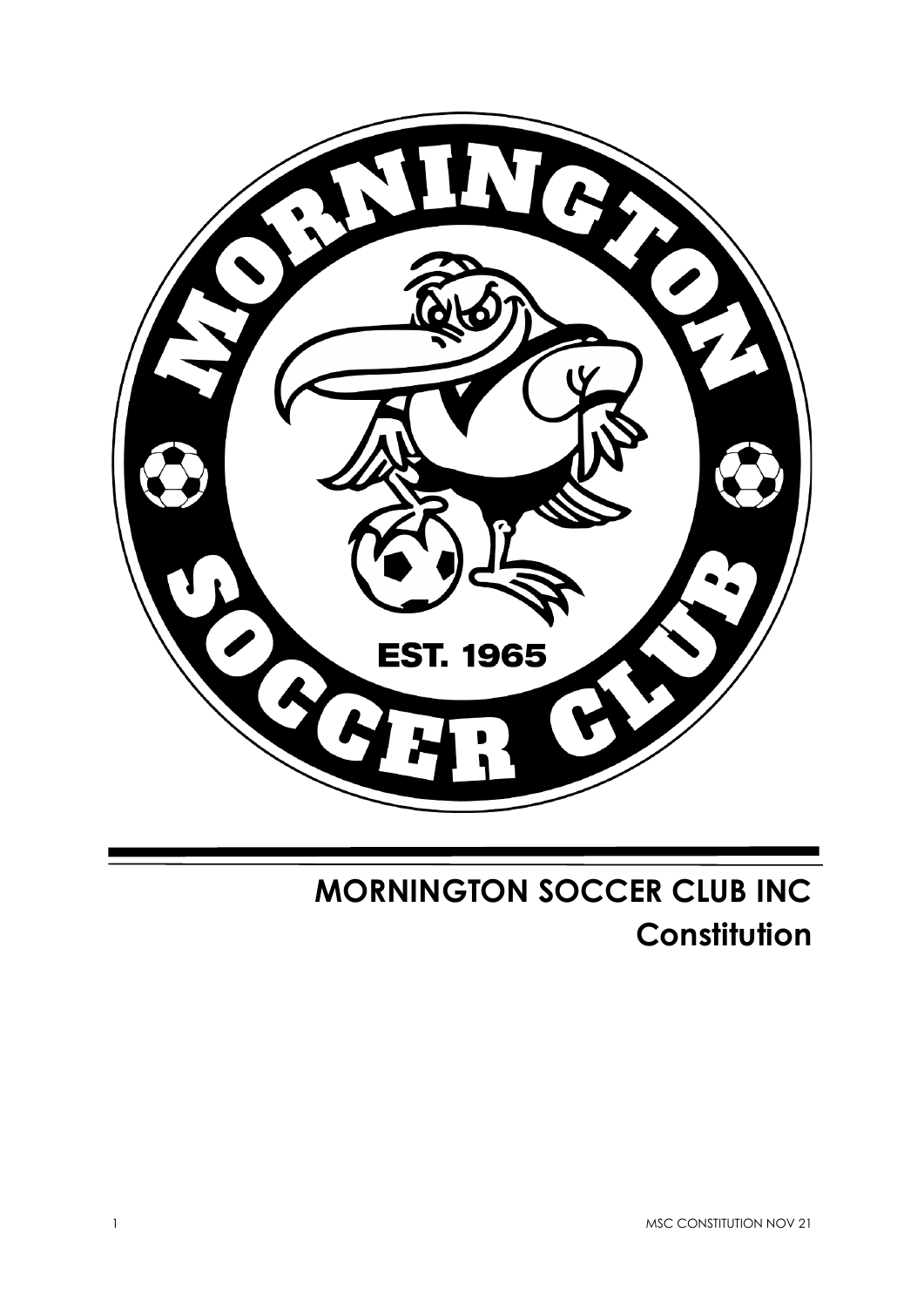

# **MORNINGTON SOCCER CLUB INC Constitution**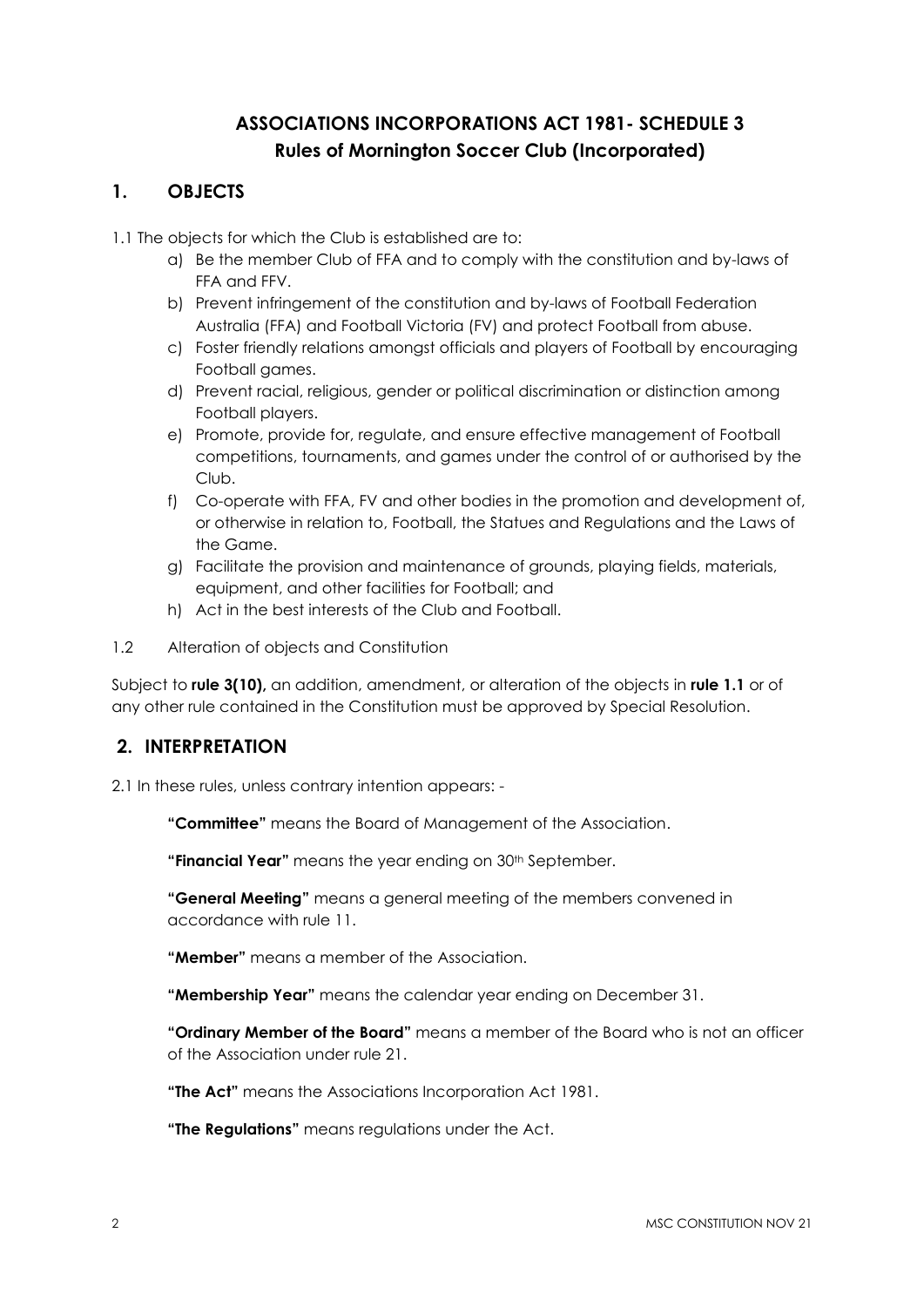# **ASSOCIATIONS INCORPORATIONS ACT 1981- SCHEDULE 3 Rules of Mornington Soccer Club (Incorporated)**

## **1. OBJECTS**

1.1 The objects for which the Club is established are to:

- a) Be the member Club of FFA and to comply with the constitution and by-laws of FFA and FFV.
- b) Prevent infringement of the constitution and by-laws of Football Federation Australia (FFA) and Football Victoria (FV) and protect Football from abuse.
- c) Foster friendly relations amongst officials and players of Football by encouraging Football games.
- d) Prevent racial, religious, gender or political discrimination or distinction among Football players.
- e) Promote, provide for, regulate, and ensure effective management of Football competitions, tournaments, and games under the control of or authorised by the Club.
- f) Co-operate with FFA, FV and other bodies in the promotion and development of, or otherwise in relation to, Football, the Statues and Regulations and the Laws of the Game.
- g) Facilitate the provision and maintenance of grounds, playing fields, materials, equipment, and other facilities for Football; and
- h) Act in the best interests of the Club and Football.
- 1.2 Alteration of objects and Constitution

Subject to **rule 3(10),** an addition, amendment, or alteration of the objects in **rule 1.1** or of any other rule contained in the Constitution must be approved by Special Resolution.

## **2. INTERPRETATION**

2.1 In these rules, unless contrary intention appears: -

**"Committee"** means the Board of Management of the Association.

**"Financial Year"** means the year ending on 30th September.

**"General Meeting"** means a general meeting of the members convened in accordance with rule 11.

**"Member"** means a member of the Association.

**"Membership Year"** means the calendar year ending on December 31.

**"Ordinary Member of the Board"** means a member of the Board who is not an officer of the Association under rule 21.

**"The Act"** means the Associations Incorporation Act 1981.

**"The Regulations"** means regulations under the Act.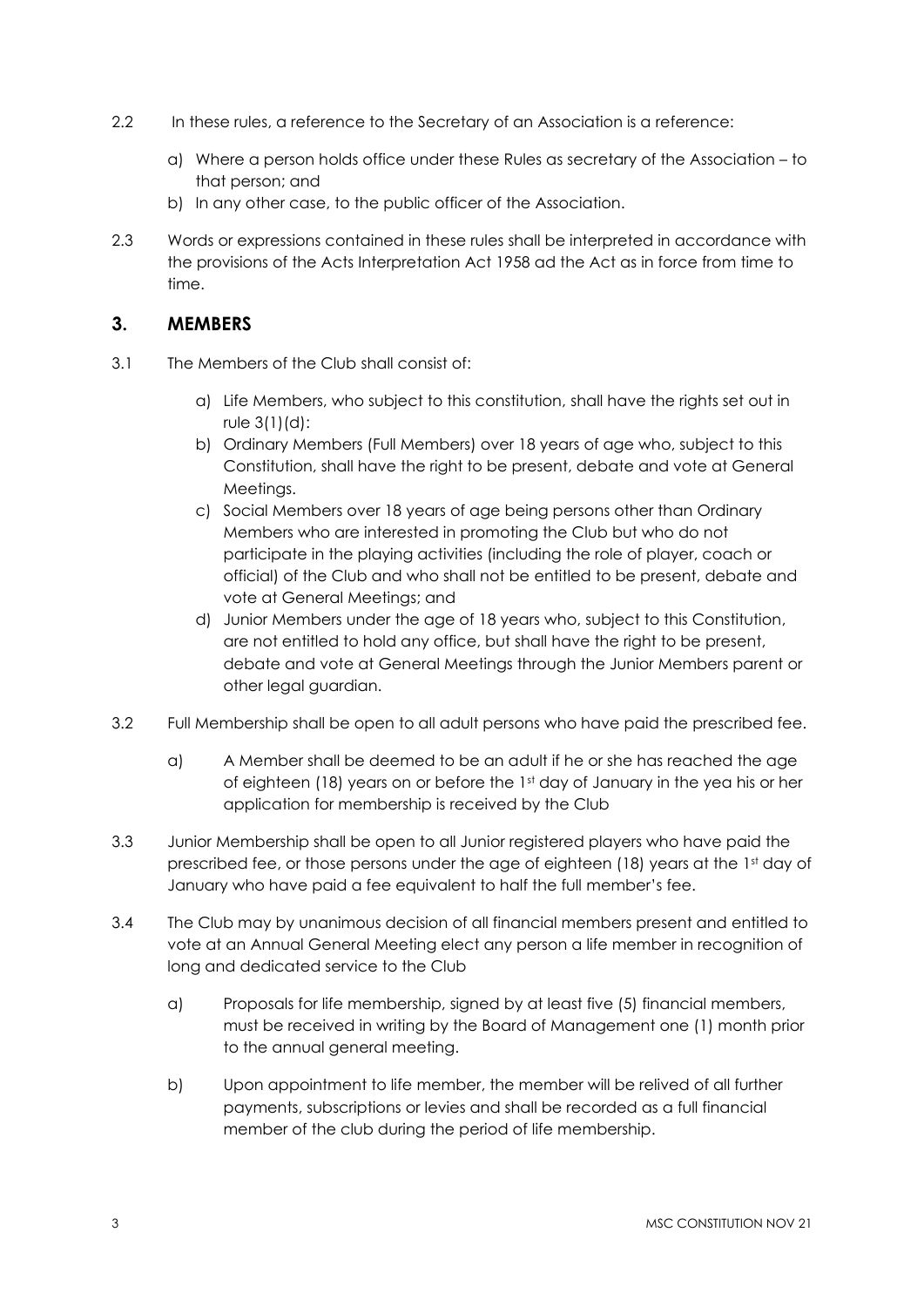- 2.2 In these rules, a reference to the Secretary of an Association is a reference:
	- a) Where a person holds office under these Rules as secretary of the Association to that person; and
	- b) In any other case, to the public officer of the Association.
- 2.3 Words or expressions contained in these rules shall be interpreted in accordance with the provisions of the Acts Interpretation Act 1958 ad the Act as in force from time to time.

#### **3. MEMBERS**

- 3.1 The Members of the Club shall consist of:
	- a) Life Members, who subject to this constitution, shall have the rights set out in rule 3(1)(d):
	- b) Ordinary Members (Full Members) over 18 years of age who, subject to this Constitution, shall have the right to be present, debate and vote at General Meetings.
	- c) Social Members over 18 years of age being persons other than Ordinary Members who are interested in promoting the Club but who do not participate in the playing activities (including the role of player, coach or official) of the Club and who shall not be entitled to be present, debate and vote at General Meetings; and
	- d) Junior Members under the age of 18 years who, subject to this Constitution, are not entitled to hold any office, but shall have the right to be present, debate and vote at General Meetings through the Junior Members parent or other legal guardian.
- 3.2 Full Membership shall be open to all adult persons who have paid the prescribed fee.
	- a) A Member shall be deemed to be an adult if he or she has reached the age of eighteen (18) years on or before the 1st day of January in the yea his or her application for membership is received by the Club
- 3.3 Junior Membership shall be open to all Junior registered players who have paid the prescribed fee, or those persons under the age of eighteen (18) years at the 1st day of January who have paid a fee equivalent to half the full member's fee.
- 3.4 The Club may by unanimous decision of all financial members present and entitled to vote at an Annual General Meeting elect any person a life member in recognition of long and dedicated service to the Club
	- a) Proposals for life membership, signed by at least five (5) financial members, must be received in writing by the Board of Management one (1) month prior to the annual general meeting.
	- b) Upon appointment to life member, the member will be relived of all further payments, subscriptions or levies and shall be recorded as a full financial member of the club during the period of life membership.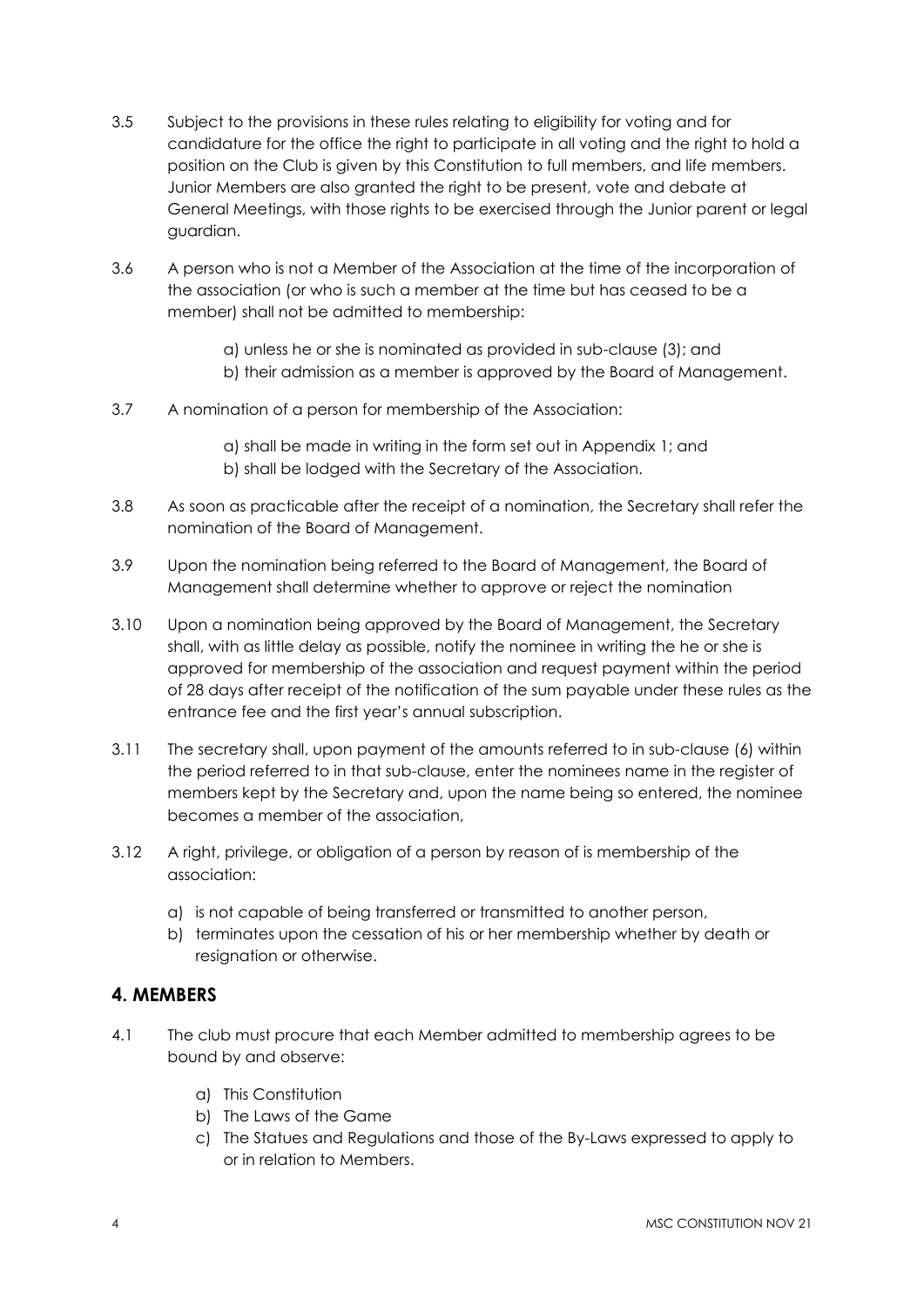- 3.5 Subject to the provisions in these rules relating to eligibility for voting and for candidature for the office the right to participate in all voting and the right to hold a position on the Club is given by this Constitution to full members, and life members. Junior Members are also granted the right to be present, vote and debate at General Meetings, with those rights to be exercised through the Junior parent or legal guardian.
- 3.6 A person who is not a Member of the Association at the time of the incorporation of the association (or who is such a member at the time but has ceased to be a member) shall not be admitted to membership:
	- a) unless he or she is nominated as provided in sub-clause (3); and
	- b) their admission as a member is approved by the Board of Management.
- 3.7 A nomination of a person for membership of the Association:
	- a) shall be made in writing in the form set out in Appendix 1; and b) shall be lodged with the Secretary of the Association.
- 3.8 As soon as practicable after the receipt of a nomination, the Secretary shall refer the nomination of the Board of Management.
- 3.9 Upon the nomination being referred to the Board of Management, the Board of Management shall determine whether to approve or reject the nomination
- 3.10 Upon a nomination being approved by the Board of Management, the Secretary shall, with as little delay as possible, notify the nominee in writing the he or she is approved for membership of the association and request payment within the period of 28 days after receipt of the notification of the sum payable under these rules as the entrance fee and the first year's annual subscription.
- 3.11 The secretary shall, upon payment of the amounts referred to in sub-clause (6) within the period referred to in that sub-clause, enter the nominees name in the register of members kept by the Secretary and, upon the name being so entered, the nominee becomes a member of the association,
- 3.12 A right, privilege, or obligation of a person by reason of is membership of the association:
	- a) is not capable of being transferred or transmitted to another person,
	- b) terminates upon the cessation of his or her membership whether by death or resignation or otherwise.

## **4. MEMBERS**

- 4.1 The club must procure that each Member admitted to membership agrees to be bound by and observe:
	- a) This Constitution
	- b) The Laws of the Game
	- c) The Statues and Regulations and those of the By-Laws expressed to apply to or in relation to Members.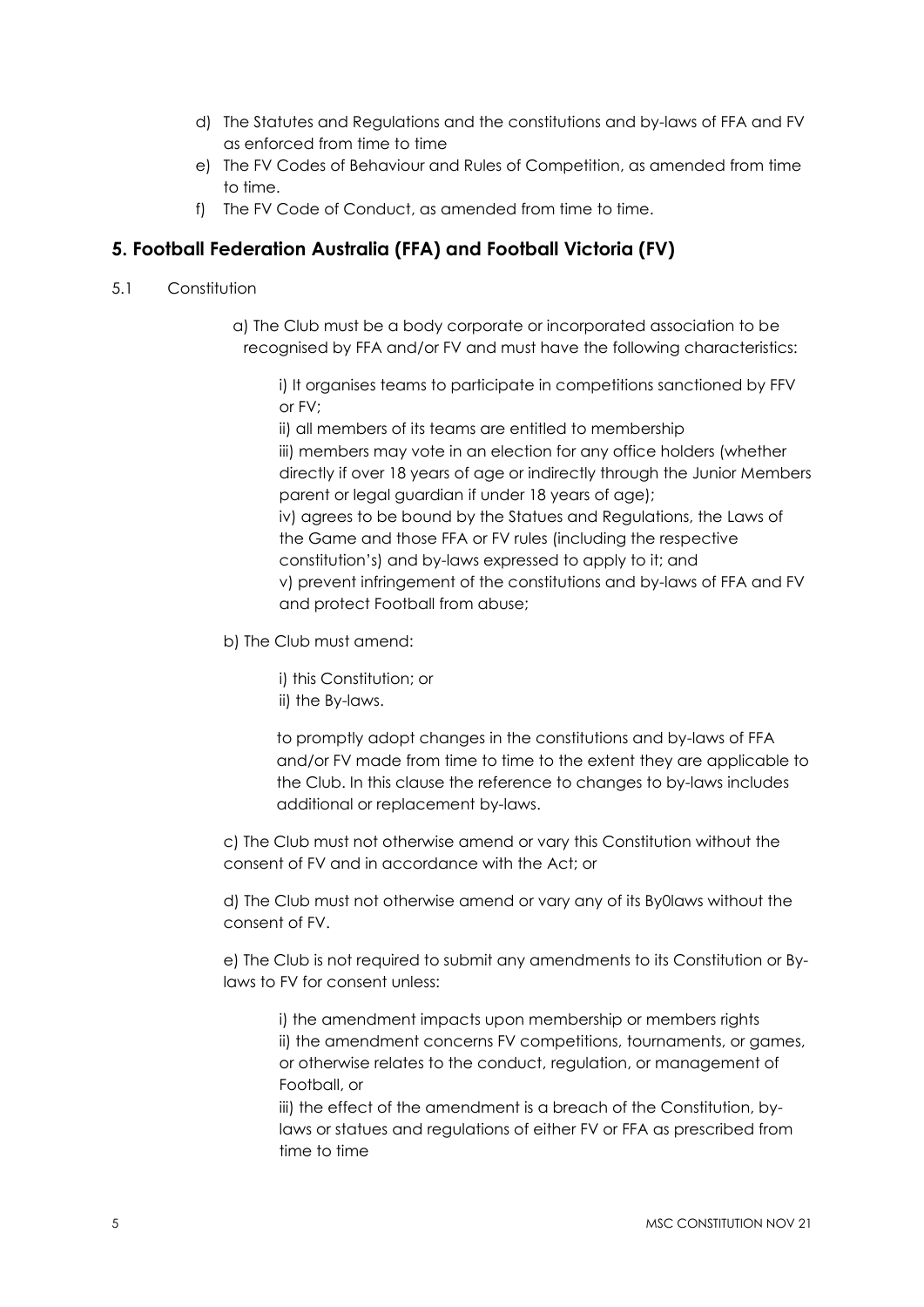- d) The Statutes and Regulations and the constitutions and by-laws of FFA and FV as enforced from time to time
- e) The FV Codes of Behaviour and Rules of Competition, as amended from time to time.
- f) The FV Code of Conduct, as amended from time to time.

## **5. Football Federation Australia (FFA) and Football Victoria (FV)**

- 5.1 Constitution
	- a) The Club must be a body corporate or incorporated association to be recognised by FFA and/or FV and must have the following characteristics:

i) It organises teams to participate in competitions sanctioned by FFV or FV;

ii) all members of its teams are entitled to membership iii) members may vote in an election for any office holders (whether directly if over 18 years of age or indirectly through the Junior Members parent or legal guardian if under 18 years of age); iv) agrees to be bound by the Statues and Regulations, the Laws of the Game and those FFA or FV rules (including the respective constitution's) and by-laws expressed to apply to it; and v) prevent infringement of the constitutions and by-laws of FFA and FV and protect Football from abuse;

b) The Club must amend:

i) this Constitution; or ii) the By-laws.

to promptly adopt changes in the constitutions and by-laws of FFA and/or FV made from time to time to the extent they are applicable to the Club. In this clause the reference to changes to by-laws includes additional or replacement by-laws.

c) The Club must not otherwise amend or vary this Constitution without the consent of FV and in accordance with the Act; or

d) The Club must not otherwise amend or vary any of its By0laws without the consent of FV.

e) The Club is not required to submit any amendments to its Constitution or Bylaws to FV for consent unless:

i) the amendment impacts upon membership or members rights ii) the amendment concerns FV competitions, tournaments, or games, or otherwise relates to the conduct, regulation, or management of Football, or

iii) the effect of the amendment is a breach of the Constitution, bylaws or statues and regulations of either FV or FFA as prescribed from time to time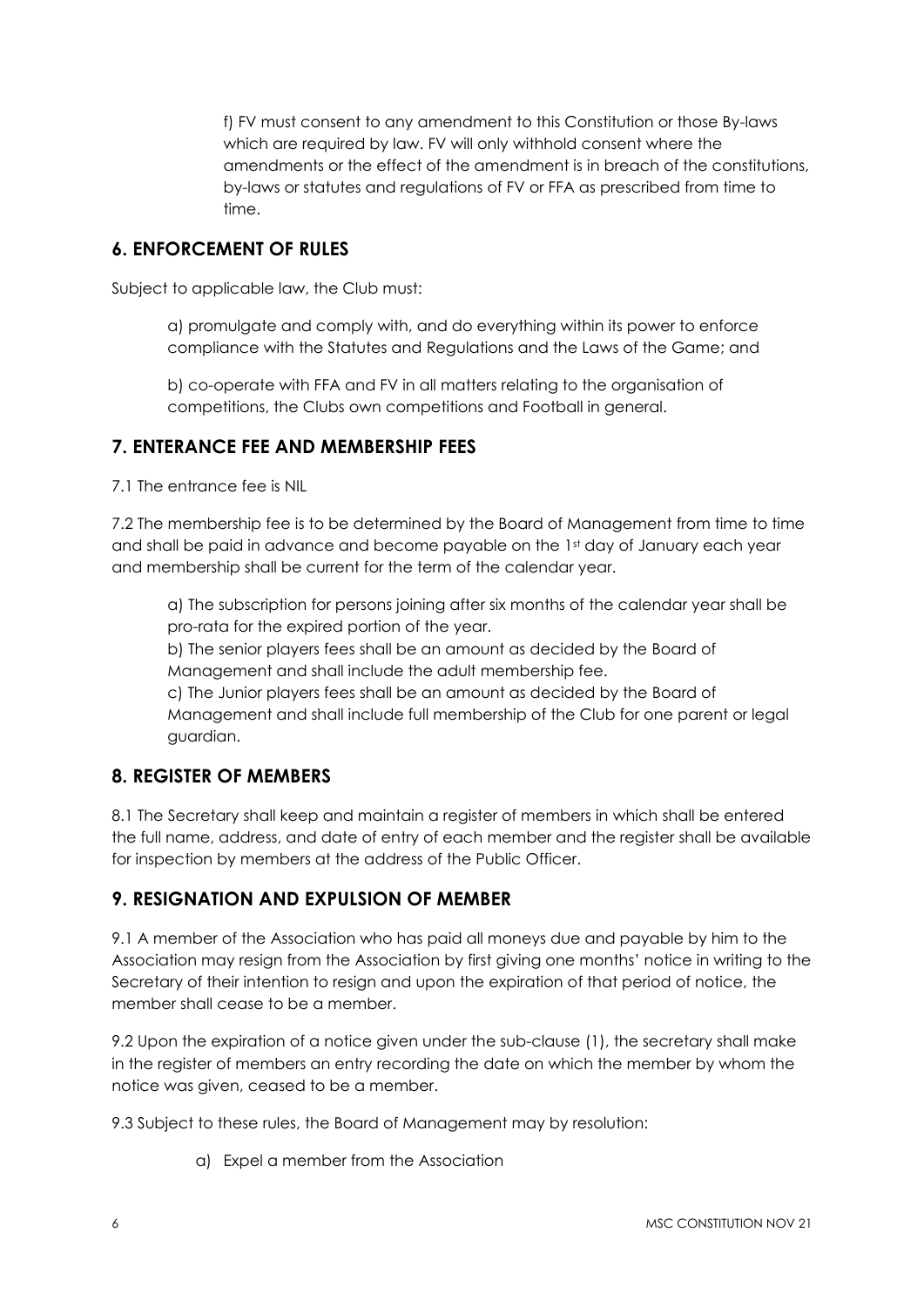f) FV must consent to any amendment to this Constitution or those By-laws which are required by law. FV will only withhold consent where the amendments or the effect of the amendment is in breach of the constitutions, by-laws or statutes and regulations of FV or FFA as prescribed from time to time.

## **6. ENFORCEMENT OF RULES**

Subject to applicable law, the Club must:

a) promulgate and comply with, and do everything within its power to enforce compliance with the Statutes and Regulations and the Laws of the Game; and

b) co-operate with FFA and FV in all matters relating to the organisation of competitions, the Clubs own competitions and Football in general.

#### **7. ENTERANCE FEE AND MEMBERSHIP FEES**

7.1 The entrance fee is NIL

7.2 The membership fee is to be determined by the Board of Management from time to time and shall be paid in advance and become payable on the 1st day of January each year and membership shall be current for the term of the calendar year.

a) The subscription for persons joining after six months of the calendar year shall be pro-rata for the expired portion of the year.

b) The senior players fees shall be an amount as decided by the Board of Management and shall include the adult membership fee.

c) The Junior players fees shall be an amount as decided by the Board of Management and shall include full membership of the Club for one parent or legal guardian.

## **8. REGISTER OF MEMBERS**

8.1 The Secretary shall keep and maintain a register of members in which shall be entered the full name, address, and date of entry of each member and the register shall be available for inspection by members at the address of the Public Officer.

#### **9. RESIGNATION AND EXPULSION OF MEMBER**

9.1 A member of the Association who has paid all moneys due and payable by him to the Association may resign from the Association by first giving one months' notice in writing to the Secretary of their intention to resign and upon the expiration of that period of notice, the member shall cease to be a member.

9.2 Upon the expiration of a notice given under the sub-clause (1), the secretary shall make in the register of members an entry recording the date on which the member by whom the notice was given, ceased to be a member.

9.3 Subject to these rules, the Board of Management may by resolution:

a) Expel a member from the Association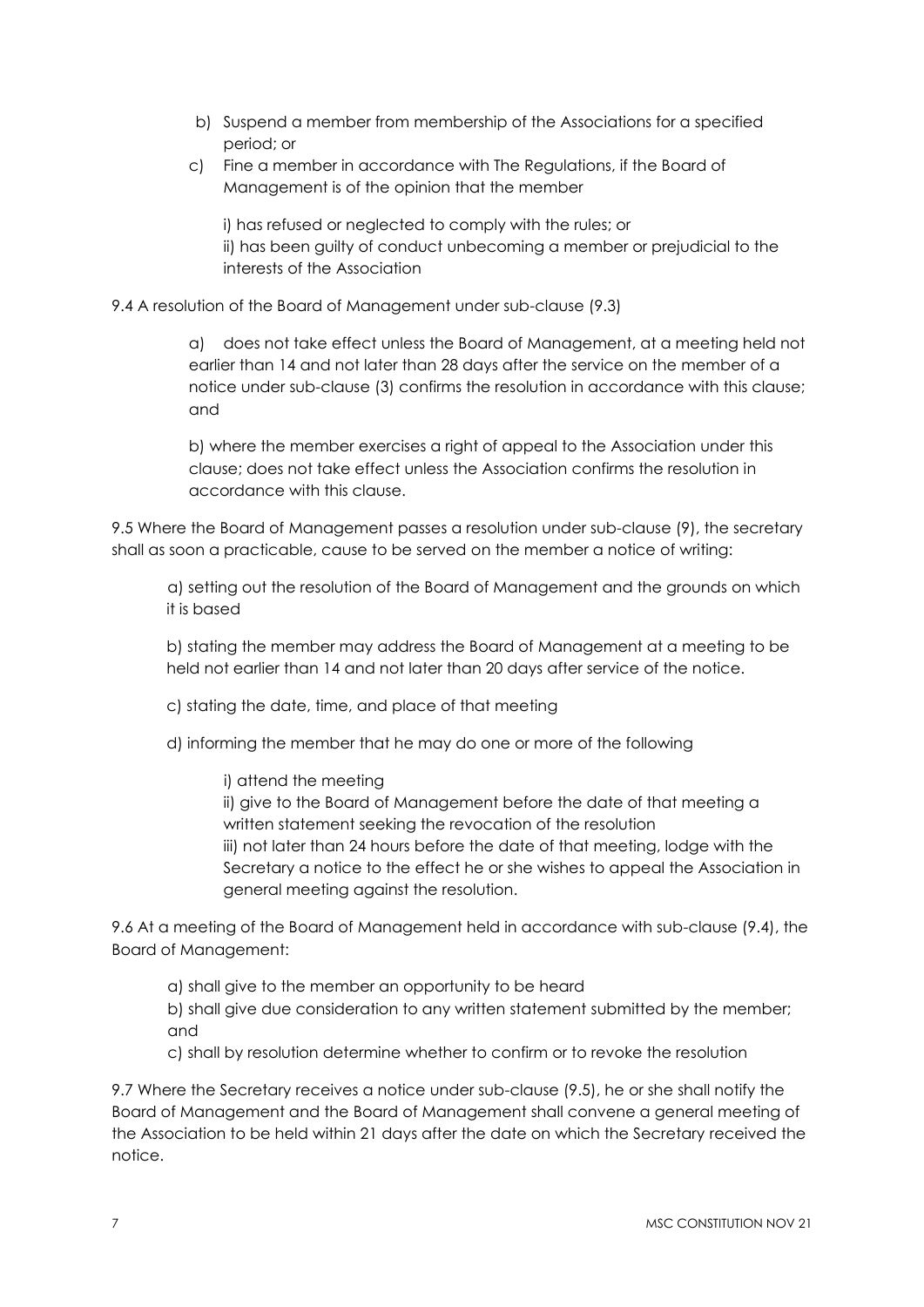- b) Suspend a member from membership of the Associations for a specified period; or
- c) Fine a member in accordance with The Regulations, if the Board of Management is of the opinion that the member

i) has refused or neglected to comply with the rules; or ii) has been guilty of conduct unbecoming a member or prejudicial to the interests of the Association

9.4 A resolution of the Board of Management under sub-clause (9.3)

a) does not take effect unless the Board of Management, at a meeting held not earlier than 14 and not later than 28 days after the service on the member of a notice under sub-clause (3) confirms the resolution in accordance with this clause; and

b) where the member exercises a right of appeal to the Association under this clause; does not take effect unless the Association confirms the resolution in accordance with this clause.

9.5 Where the Board of Management passes a resolution under sub-clause (9), the secretary shall as soon a practicable, cause to be served on the member a notice of writing:

a) setting out the resolution of the Board of Management and the grounds on which it is based

b) stating the member may address the Board of Management at a meeting to be held not earlier than 14 and not later than 20 days after service of the notice.

- c) stating the date, time, and place of that meeting
- d) informing the member that he may do one or more of the following
	- i) attend the meeting

ii) give to the Board of Management before the date of that meeting a written statement seeking the revocation of the resolution iii) not later than 24 hours before the date of that meeting, lodge with the Secretary a notice to the effect he or she wishes to appeal the Association in general meeting against the resolution.

9.6 At a meeting of the Board of Management held in accordance with sub-clause (9.4), the Board of Management:

a) shall give to the member an opportunity to be heard

b) shall give due consideration to any written statement submitted by the member; and

c) shall by resolution determine whether to confirm or to revoke the resolution

9.7 Where the Secretary receives a notice under sub-clause (9.5), he or she shall notify the Board of Management and the Board of Management shall convene a general meeting of the Association to be held within 21 days after the date on which the Secretary received the notice.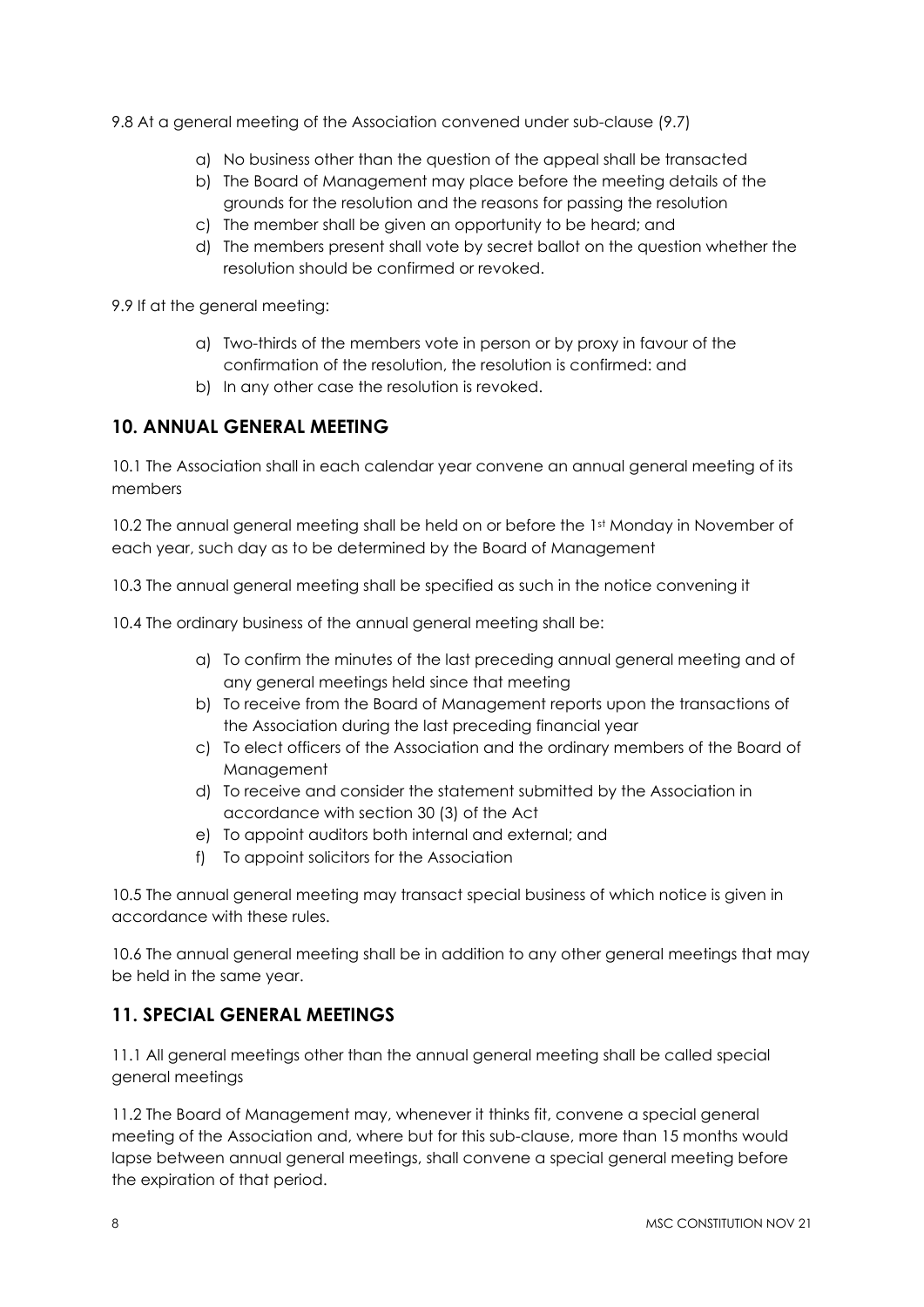9.8 At a general meeting of the Association convened under sub-clause (9.7)

- a) No business other than the question of the appeal shall be transacted
- b) The Board of Management may place before the meeting details of the grounds for the resolution and the reasons for passing the resolution
- c) The member shall be given an opportunity to be heard; and
- d) The members present shall vote by secret ballot on the question whether the resolution should be confirmed or revoked.

9.9 If at the general meeting:

- a) Two-thirds of the members vote in person or by proxy in favour of the confirmation of the resolution, the resolution is confirmed: and
- b) In any other case the resolution is revoked.

#### **10. ANNUAL GENERAL MEETING**

10.1 The Association shall in each calendar year convene an annual general meeting of its members

10.2 The annual general meeting shall be held on or before the 1st Monday in November of each year, such day as to be determined by the Board of Management

10.3 The annual general meeting shall be specified as such in the notice convening it

10.4 The ordinary business of the annual general meeting shall be:

- a) To confirm the minutes of the last preceding annual general meeting and of any general meetings held since that meeting
- b) To receive from the Board of Management reports upon the transactions of the Association during the last preceding financial year
- c) To elect officers of the Association and the ordinary members of the Board of Management
- d) To receive and consider the statement submitted by the Association in accordance with section 30 (3) of the Act
- e) To appoint auditors both internal and external; and
- f) To appoint solicitors for the Association

10.5 The annual general meeting may transact special business of which notice is given in accordance with these rules.

10.6 The annual general meeting shall be in addition to any other general meetings that may be held in the same year.

#### **11. SPECIAL GENERAL MEETINGS**

11.1 All general meetings other than the annual general meeting shall be called special general meetings

11.2 The Board of Management may, whenever it thinks fit, convene a special general meeting of the Association and, where but for this sub-clause, more than 15 months would lapse between annual general meetings, shall convene a special general meeting before the expiration of that period.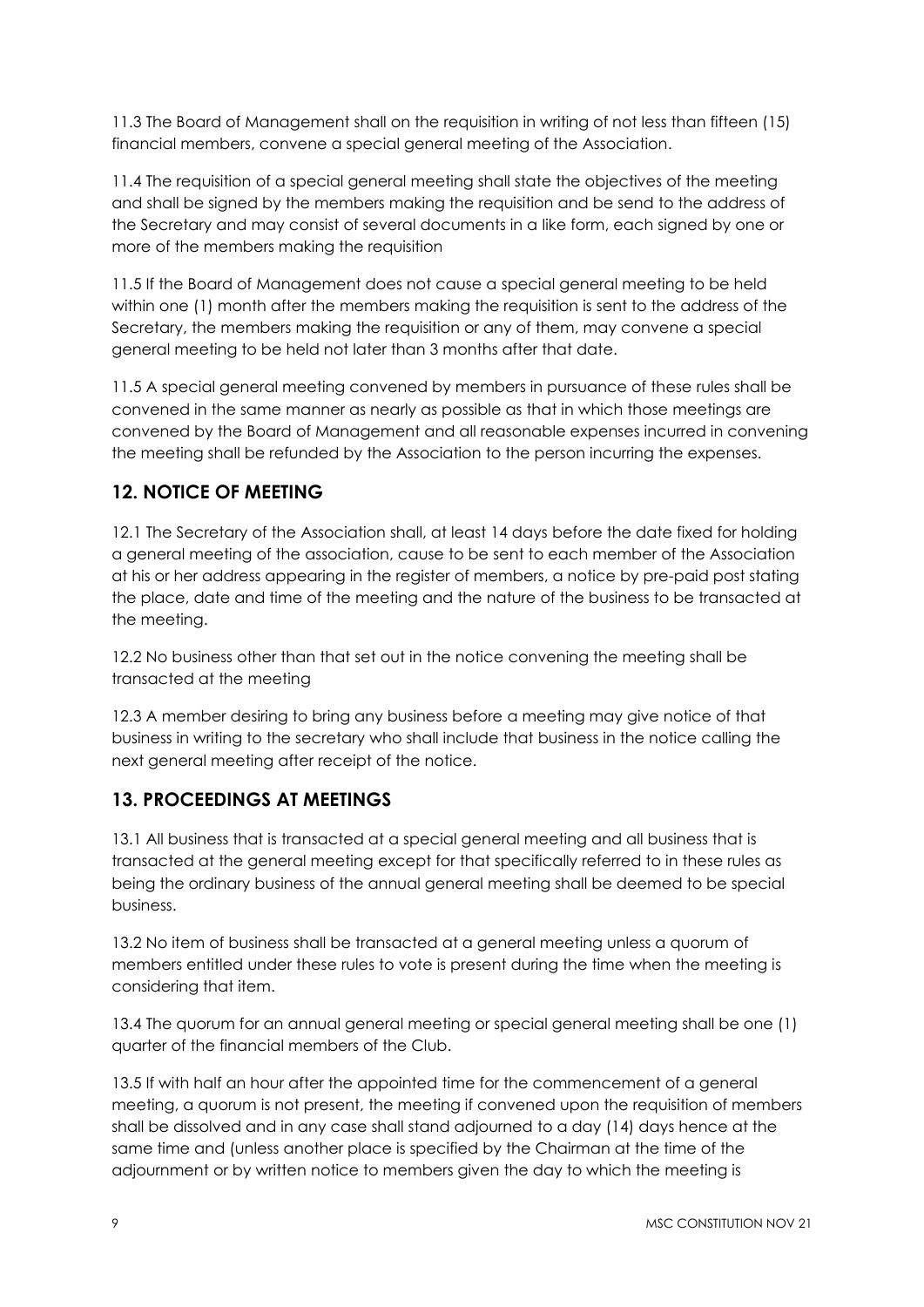11.3 The Board of Management shall on the requisition in writing of not less than fifteen (15) financial members, convene a special general meeting of the Association.

11.4 The requisition of a special general meeting shall state the objectives of the meeting and shall be signed by the members making the requisition and be send to the address of the Secretary and may consist of several documents in a like form, each signed by one or more of the members making the requisition

11.5 If the Board of Management does not cause a special general meeting to be held within one (1) month after the members making the requisition is sent to the address of the Secretary, the members making the requisition or any of them, may convene a special general meeting to be held not later than 3 months after that date.

11.5 A special general meeting convened by members in pursuance of these rules shall be convened in the same manner as nearly as possible as that in which those meetings are convened by the Board of Management and all reasonable expenses incurred in convening the meeting shall be refunded by the Association to the person incurring the expenses.

# **12. NOTICE OF MEETING**

12.1 The Secretary of the Association shall, at least 14 days before the date fixed for holding a general meeting of the association, cause to be sent to each member of the Association at his or her address appearing in the register of members, a notice by pre-paid post stating the place, date and time of the meeting and the nature of the business to be transacted at the meeting.

12.2 No business other than that set out in the notice convening the meeting shall be transacted at the meeting

12.3 A member desiring to bring any business before a meeting may give notice of that business in writing to the secretary who shall include that business in the notice calling the next general meeting after receipt of the notice.

## **13. PROCEEDINGS AT MEETINGS**

13.1 All business that is transacted at a special general meeting and all business that is transacted at the general meeting except for that specifically referred to in these rules as being the ordinary business of the annual general meeting shall be deemed to be special business.

13.2 No item of business shall be transacted at a general meeting unless a quorum of members entitled under these rules to vote is present during the time when the meeting is considering that item.

13.4 The quorum for an annual general meeting or special general meeting shall be one (1) quarter of the financial members of the Club.

13.5 If with half an hour after the appointed time for the commencement of a general meeting, a quorum is not present, the meeting if convened upon the requisition of members shall be dissolved and in any case shall stand adjourned to a day (14) days hence at the same time and (unless another place is specified by the Chairman at the time of the adjournment or by written notice to members given the day to which the meeting is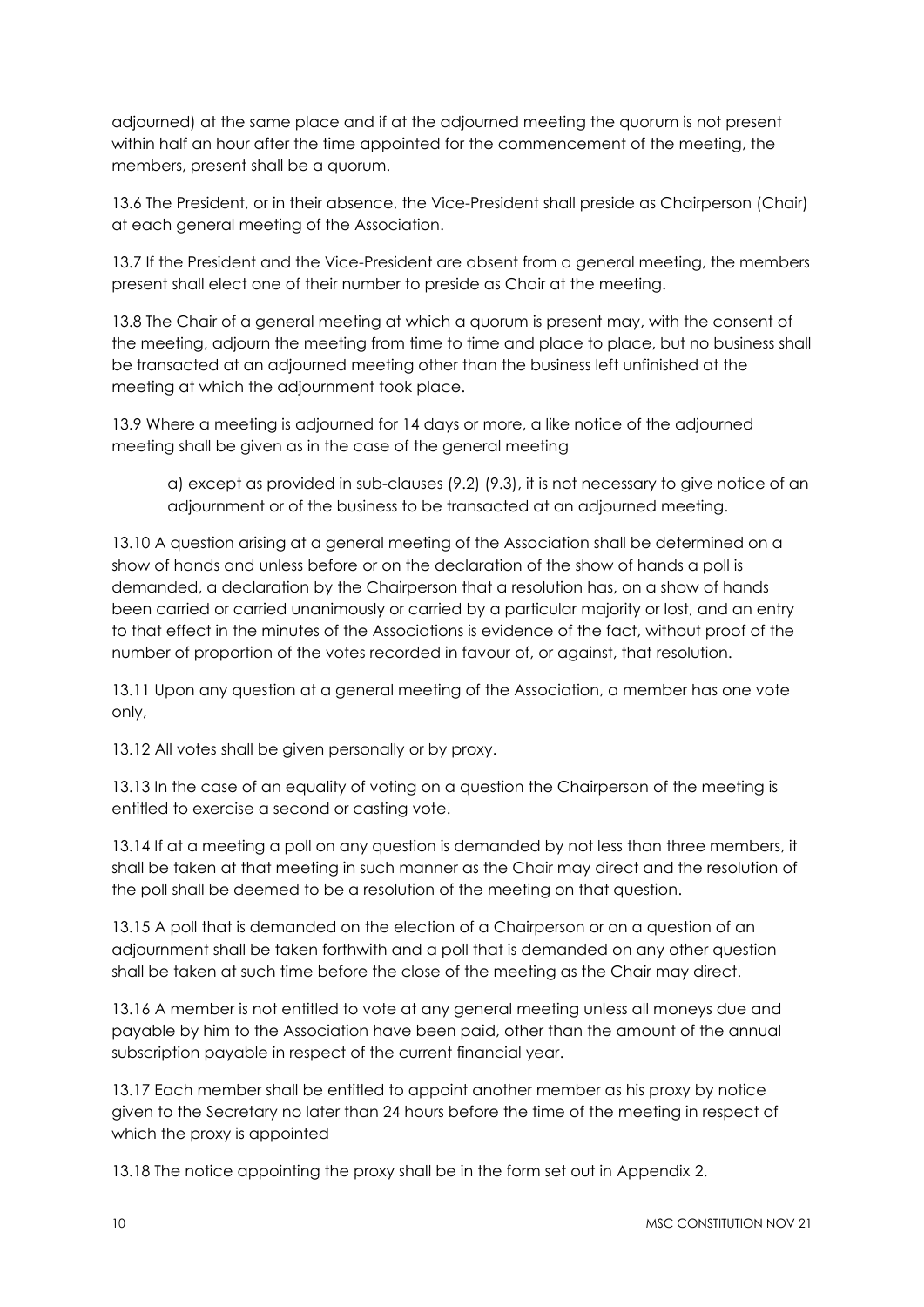adjourned) at the same place and if at the adjourned meeting the quorum is not present within half an hour after the time appointed for the commencement of the meeting, the members, present shall be a quorum.

13.6 The President, or in their absence, the Vice-President shall preside as Chairperson (Chair) at each general meeting of the Association.

13.7 If the President and the Vice-President are absent from a general meeting, the members present shall elect one of their number to preside as Chair at the meeting.

13.8 The Chair of a general meeting at which a quorum is present may, with the consent of the meeting, adjourn the meeting from time to time and place to place, but no business shall be transacted at an adjourned meeting other than the business left unfinished at the meeting at which the adjournment took place.

13.9 Where a meeting is adjourned for 14 days or more, a like notice of the adjourned meeting shall be given as in the case of the general meeting

a) except as provided in sub-clauses (9.2) (9.3), it is not necessary to give notice of an adjournment or of the business to be transacted at an adjourned meeting.

13.10 A question arising at a general meeting of the Association shall be determined on a show of hands and unless before or on the declaration of the show of hands a poll is demanded, a declaration by the Chairperson that a resolution has, on a show of hands been carried or carried unanimously or carried by a particular majority or lost, and an entry to that effect in the minutes of the Associations is evidence of the fact, without proof of the number of proportion of the votes recorded in favour of, or against, that resolution.

13.11 Upon any question at a general meeting of the Association, a member has one vote only,

13.12 All votes shall be given personally or by proxy.

13.13 In the case of an equality of voting on a question the Chairperson of the meeting is entitled to exercise a second or casting vote.

13.14 If at a meeting a poll on any question is demanded by not less than three members, it shall be taken at that meeting in such manner as the Chair may direct and the resolution of the poll shall be deemed to be a resolution of the meeting on that question.

13.15 A poll that is demanded on the election of a Chairperson or on a question of an adjournment shall be taken forthwith and a poll that is demanded on any other question shall be taken at such time before the close of the meeting as the Chair may direct.

13.16 A member is not entitled to vote at any general meeting unless all moneys due and payable by him to the Association have been paid, other than the amount of the annual subscription payable in respect of the current financial year.

13.17 Each member shall be entitled to appoint another member as his proxy by notice given to the Secretary no later than 24 hours before the time of the meeting in respect of which the proxy is appointed

13.18 The notice appointing the proxy shall be in the form set out in Appendix 2.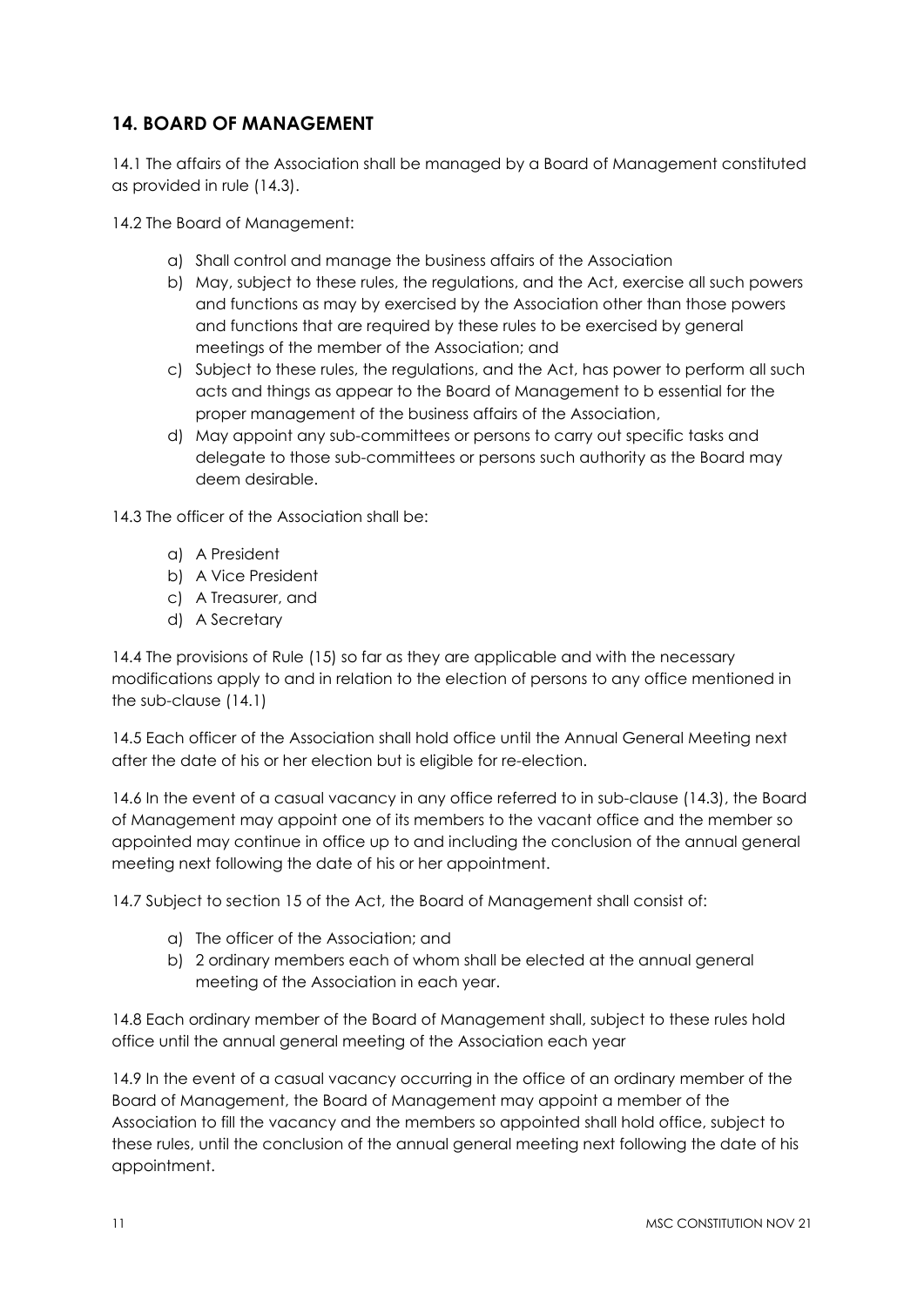## **14. BOARD OF MANAGEMENT**

14.1 The affairs of the Association shall be managed by a Board of Management constituted as provided in rule (14.3).

14.2 The Board of Management:

- a) Shall control and manage the business affairs of the Association
- b) May, subject to these rules, the regulations, and the Act, exercise all such powers and functions as may by exercised by the Association other than those powers and functions that are required by these rules to be exercised by general meetings of the member of the Association; and
- c) Subject to these rules, the regulations, and the Act, has power to perform all such acts and things as appear to the Board of Management to b essential for the proper management of the business affairs of the Association,
- d) May appoint any sub-committees or persons to carry out specific tasks and delegate to those sub-committees or persons such authority as the Board may deem desirable.

14.3 The officer of the Association shall be:

- a) A President
- b) A Vice President
- c) A Treasurer, and
- d) A Secretary

14.4 The provisions of Rule (15) so far as they are applicable and with the necessary modifications apply to and in relation to the election of persons to any office mentioned in the sub-clause (14.1)

14.5 Each officer of the Association shall hold office until the Annual General Meeting next after the date of his or her election but is eligible for re-election.

14.6 In the event of a casual vacancy in any office referred to in sub-clause (14.3), the Board of Management may appoint one of its members to the vacant office and the member so appointed may continue in office up to and including the conclusion of the annual general meeting next following the date of his or her appointment.

14.7 Subject to section 15 of the Act, the Board of Management shall consist of:

- a) The officer of the Association; and
- b) 2 ordinary members each of whom shall be elected at the annual general meeting of the Association in each year.

14.8 Each ordinary member of the Board of Management shall, subject to these rules hold office until the annual general meeting of the Association each year

14.9 In the event of a casual vacancy occurring in the office of an ordinary member of the Board of Management, the Board of Management may appoint a member of the Association to fill the vacancy and the members so appointed shall hold office, subject to these rules, until the conclusion of the annual general meeting next following the date of his appointment.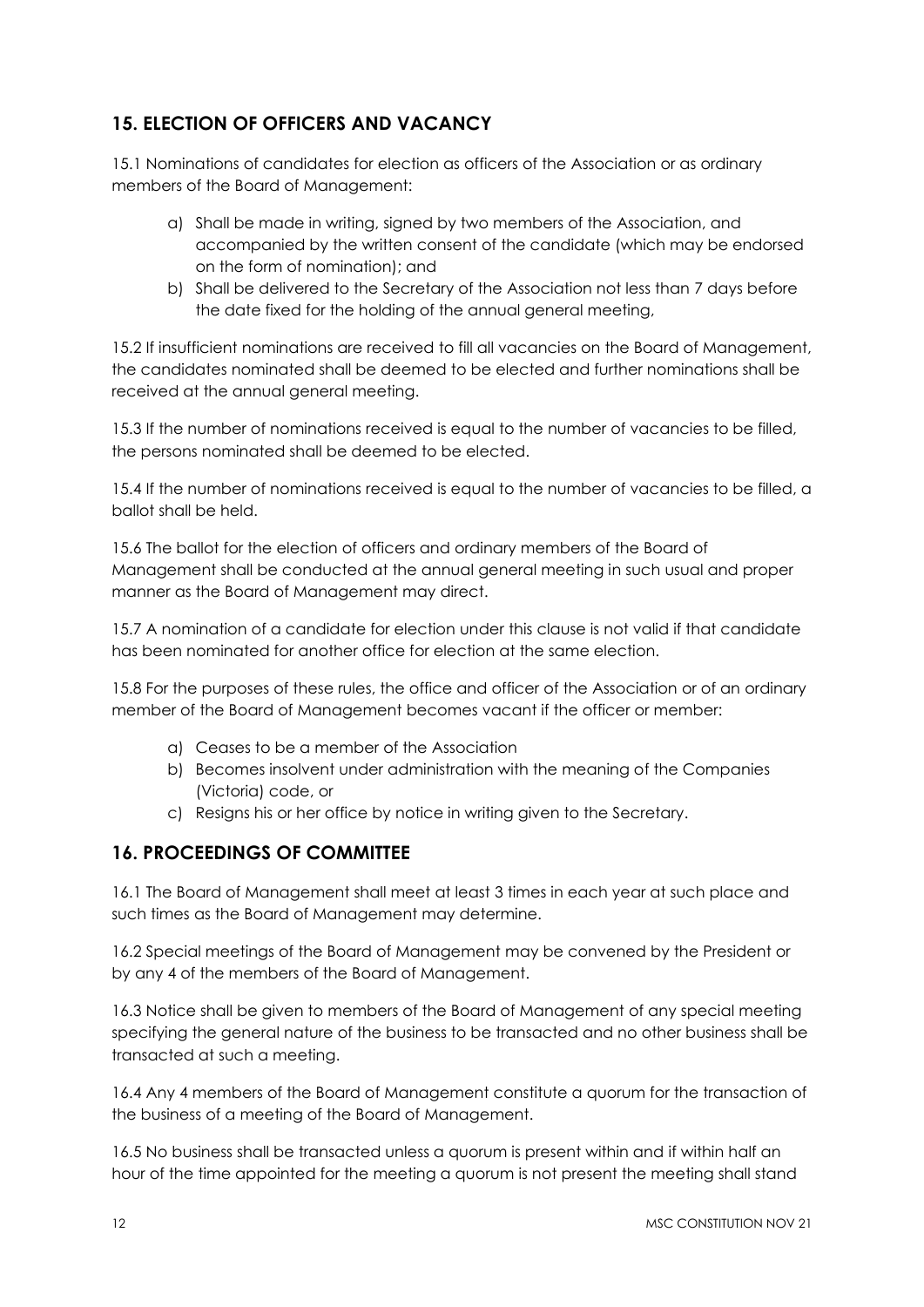# **15. ELECTION OF OFFICERS AND VACANCY**

15.1 Nominations of candidates for election as officers of the Association or as ordinary members of the Board of Management:

- a) Shall be made in writing, signed by two members of the Association, and accompanied by the written consent of the candidate (which may be endorsed on the form of nomination); and
- b) Shall be delivered to the Secretary of the Association not less than 7 days before the date fixed for the holding of the annual general meeting,

15.2 If insufficient nominations are received to fill all vacancies on the Board of Management, the candidates nominated shall be deemed to be elected and further nominations shall be received at the annual general meeting.

15.3 If the number of nominations received is equal to the number of vacancies to be filled, the persons nominated shall be deemed to be elected.

15.4 If the number of nominations received is equal to the number of vacancies to be filled, a ballot shall be held.

15.6 The ballot for the election of officers and ordinary members of the Board of Management shall be conducted at the annual general meeting in such usual and proper manner as the Board of Management may direct.

15.7 A nomination of a candidate for election under this clause is not valid if that candidate has been nominated for another office for election at the same election.

15.8 For the purposes of these rules, the office and officer of the Association or of an ordinary member of the Board of Management becomes vacant if the officer or member:

- a) Ceases to be a member of the Association
- b) Becomes insolvent under administration with the meaning of the Companies (Victoria) code, or
- c) Resigns his or her office by notice in writing given to the Secretary.

#### **16. PROCEEDINGS OF COMMITTEE**

16.1 The Board of Management shall meet at least 3 times in each year at such place and such times as the Board of Management may determine.

16.2 Special meetings of the Board of Management may be convened by the President or by any 4 of the members of the Board of Management.

16.3 Notice shall be given to members of the Board of Management of any special meeting specifying the general nature of the business to be transacted and no other business shall be transacted at such a meeting.

16.4 Any 4 members of the Board of Management constitute a quorum for the transaction of the business of a meeting of the Board of Management.

16.5 No business shall be transacted unless a quorum is present within and if within half an hour of the time appointed for the meeting a quorum is not present the meeting shall stand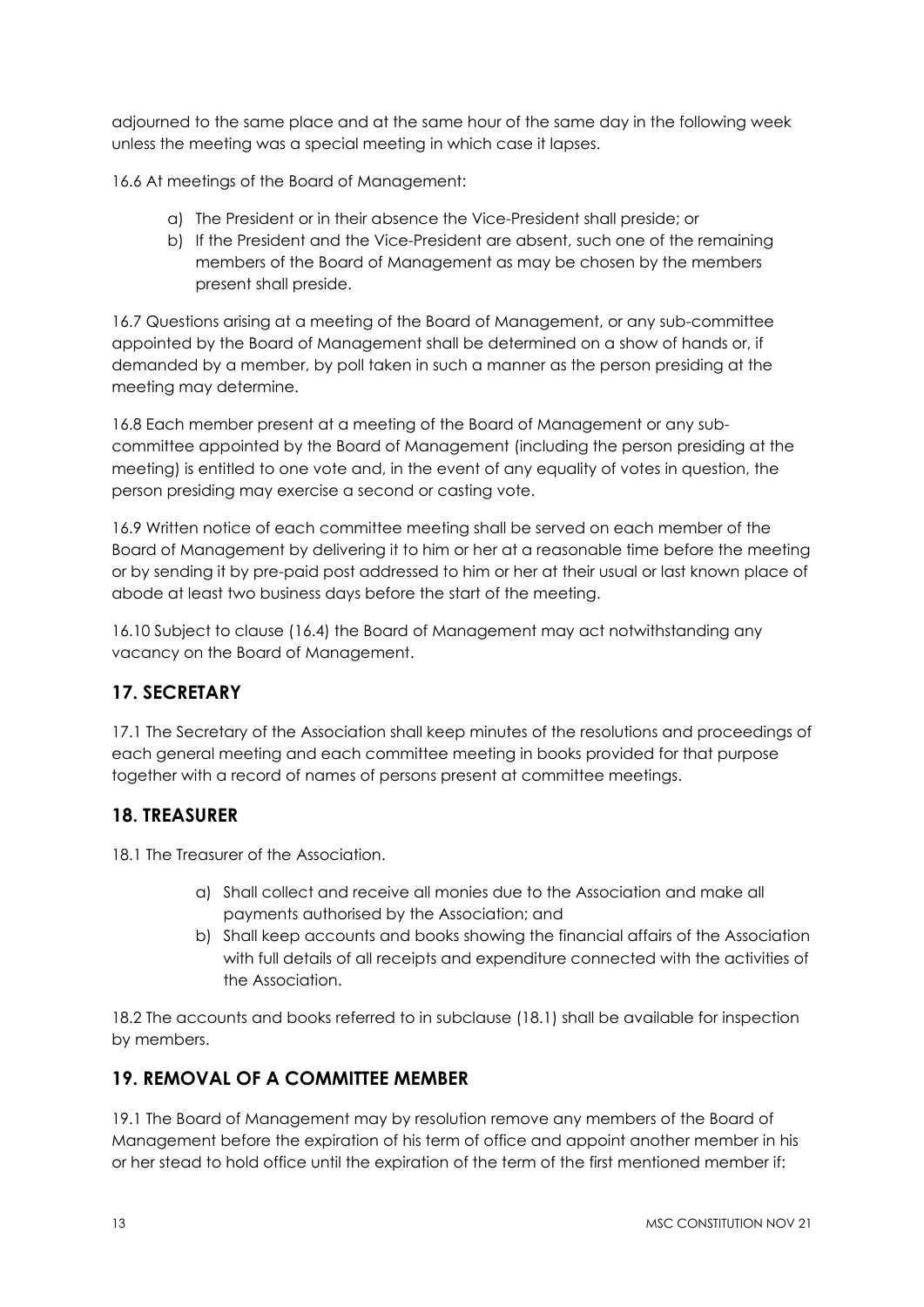adjourned to the same place and at the same hour of the same day in the following week unless the meeting was a special meeting in which case it lapses.

16.6 At meetings of the Board of Management:

- a) The President or in their absence the Vice-President shall preside; or
- b) If the President and the Vice-President are absent, such one of the remaining members of the Board of Management as may be chosen by the members present shall preside.

16.7 Questions arising at a meeting of the Board of Management, or any sub-committee appointed by the Board of Management shall be determined on a show of hands or, if demanded by a member, by poll taken in such a manner as the person presiding at the meeting may determine.

16.8 Each member present at a meeting of the Board of Management or any subcommittee appointed by the Board of Management (including the person presiding at the meeting) is entitled to one vote and, in the event of any equality of votes in question, the person presiding may exercise a second or casting vote.

16.9 Written notice of each committee meeting shall be served on each member of the Board of Management by delivering it to him or her at a reasonable time before the meeting or by sending it by pre-paid post addressed to him or her at their usual or last known place of abode at least two business days before the start of the meeting.

16.10 Subject to clause (16.4) the Board of Management may act notwithstanding any vacancy on the Board of Management.

## **17. SECRETARY**

17.1 The Secretary of the Association shall keep minutes of the resolutions and proceedings of each general meeting and each committee meeting in books provided for that purpose together with a record of names of persons present at committee meetings.

#### **18. TREASURER**

18.1 The Treasurer of the Association.

- a) Shall collect and receive all monies due to the Association and make all payments authorised by the Association; and
- b) Shall keep accounts and books showing the financial affairs of the Association with full details of all receipts and expenditure connected with the activities of the Association.

18.2 The accounts and books referred to in subclause (18.1) shall be available for inspection by members.

#### **19. REMOVAL OF A COMMITTEE MEMBER**

19.1 The Board of Management may by resolution remove any members of the Board of Management before the expiration of his term of office and appoint another member in his or her stead to hold office until the expiration of the term of the first mentioned member if: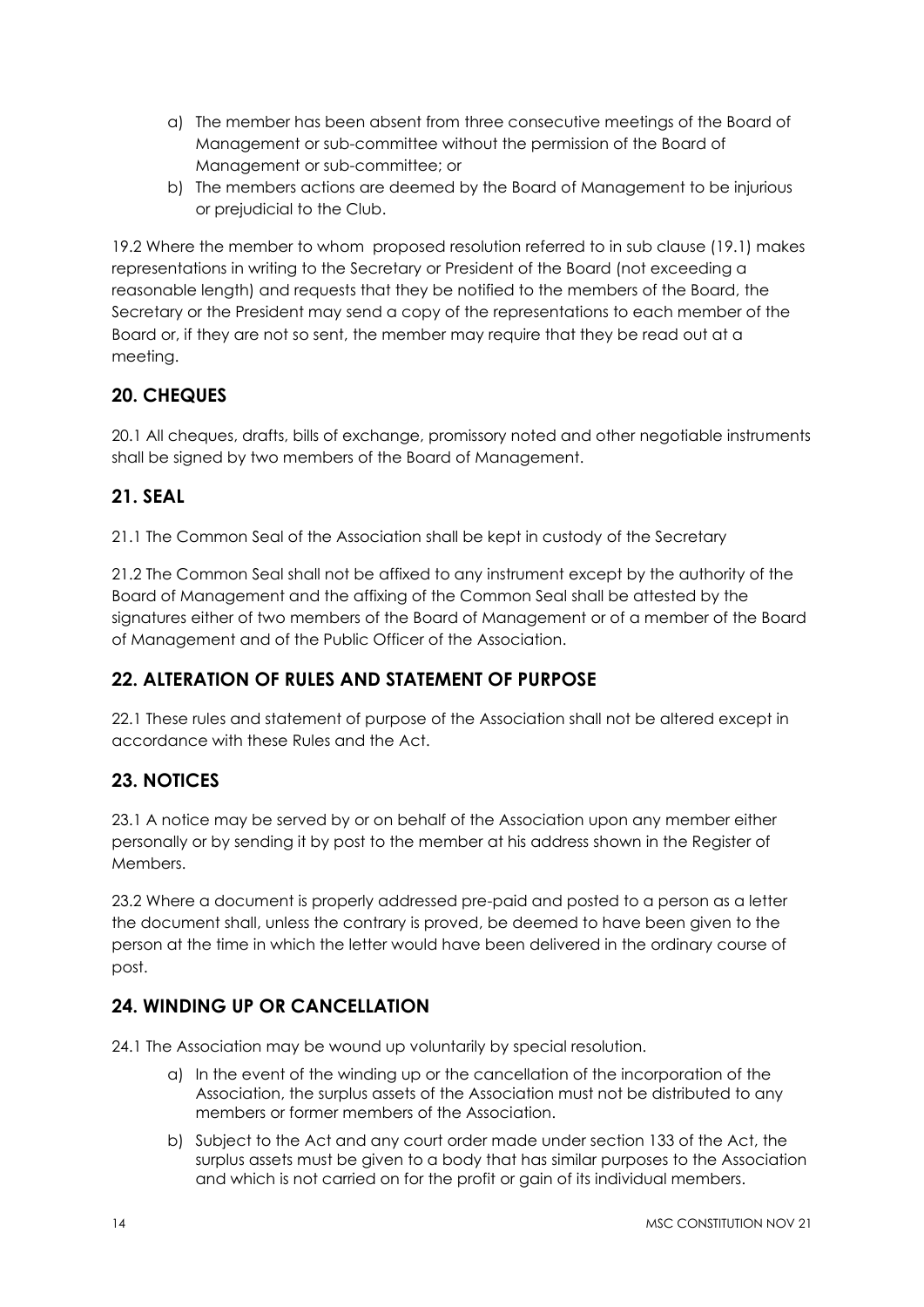- a) The member has been absent from three consecutive meetings of the Board of Management or sub-committee without the permission of the Board of Management or sub-committee; or
- b) The members actions are deemed by the Board of Management to be injurious or prejudicial to the Club.

19.2 Where the member to whom proposed resolution referred to in sub clause (19.1) makes representations in writing to the Secretary or President of the Board (not exceeding a reasonable length) and requests that they be notified to the members of the Board, the Secretary or the President may send a copy of the representations to each member of the Board or, if they are not so sent, the member may require that they be read out at a meeting.

## **20. CHEQUES**

20.1 All cheques, drafts, bills of exchange, promissory noted and other negotiable instruments shall be signed by two members of the Board of Management.

#### **21. SEAL**

21.1 The Common Seal of the Association shall be kept in custody of the Secretary

21.2 The Common Seal shall not be affixed to any instrument except by the authority of the Board of Management and the affixing of the Common Seal shall be attested by the signatures either of two members of the Board of Management or of a member of the Board of Management and of the Public Officer of the Association.

## **22. ALTERATION OF RULES AND STATEMENT OF PURPOSE**

22.1 These rules and statement of purpose of the Association shall not be altered except in accordance with these Rules and the Act.

## **23. NOTICES**

23.1 A notice may be served by or on behalf of the Association upon any member either personally or by sending it by post to the member at his address shown in the Register of Members.

23.2 Where a document is properly addressed pre-paid and posted to a person as a letter the document shall, unless the contrary is proved, be deemed to have been given to the person at the time in which the letter would have been delivered in the ordinary course of post.

## **24. WINDING UP OR CANCELLATION**

24.1 The Association may be wound up voluntarily by special resolution.

- a) In the event of the winding up or the cancellation of the incorporation of the Association, the surplus assets of the Association must not be distributed to any members or former members of the Association.
- b) Subject to the Act and any court order made under section 133 of the Act, the surplus assets must be given to a body that has similar purposes to the Association and which is not carried on for the profit or gain of its individual members.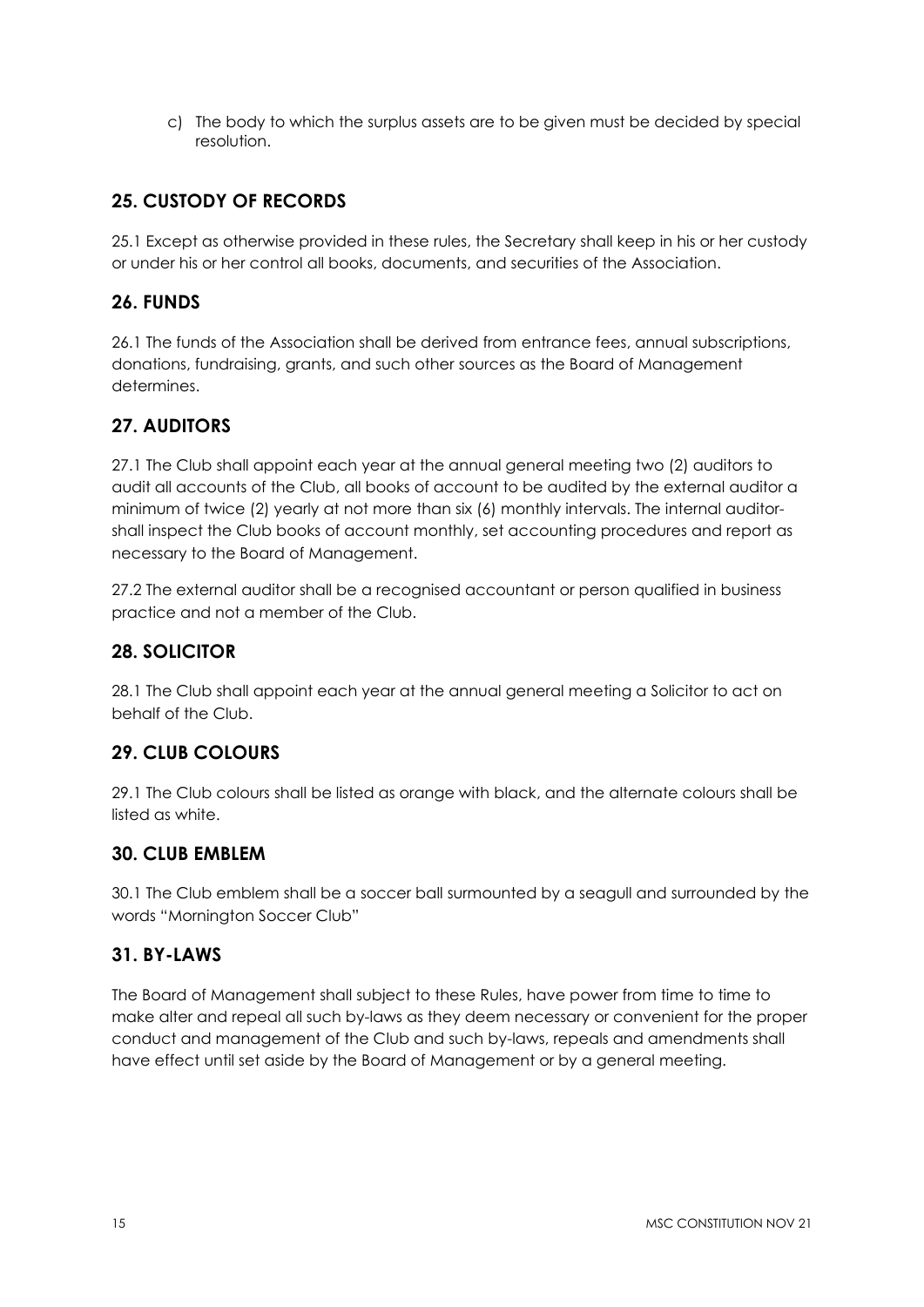c) The body to which the surplus assets are to be given must be decided by special resolution.

## **25. CUSTODY OF RECORDS**

25.1 Except as otherwise provided in these rules, the Secretary shall keep in his or her custody or under his or her control all books, documents, and securities of the Association.

#### **26. FUNDS**

26.1 The funds of the Association shall be derived from entrance fees, annual subscriptions, donations, fundraising, grants, and such other sources as the Board of Management determines.

## **27. AUDITORS**

27.1 The Club shall appoint each year at the annual general meeting two (2) auditors to audit all accounts of the Club, all books of account to be audited by the external auditor a minimum of twice (2) yearly at not more than six (6) monthly intervals. The internal auditorshall inspect the Club books of account monthly, set accounting procedures and report as necessary to the Board of Management.

27.2 The external auditor shall be a recognised accountant or person qualified in business practice and not a member of the Club.

#### **28. SOLICITOR**

28.1 The Club shall appoint each year at the annual general meeting a Solicitor to act on behalf of the Club.

## **29. CLUB COLOURS**

29.1 The Club colours shall be listed as orange with black, and the alternate colours shall be listed as white.

#### **30. CLUB EMBLEM**

30.1 The Club emblem shall be a soccer ball surmounted by a seagull and surrounded by the words "Mornington Soccer Club"

#### **31. BY-LAWS**

The Board of Management shall subject to these Rules, have power from time to time to make alter and repeal all such by-laws as they deem necessary or convenient for the proper conduct and management of the Club and such by-laws, repeals and amendments shall have effect until set aside by the Board of Management or by a general meeting.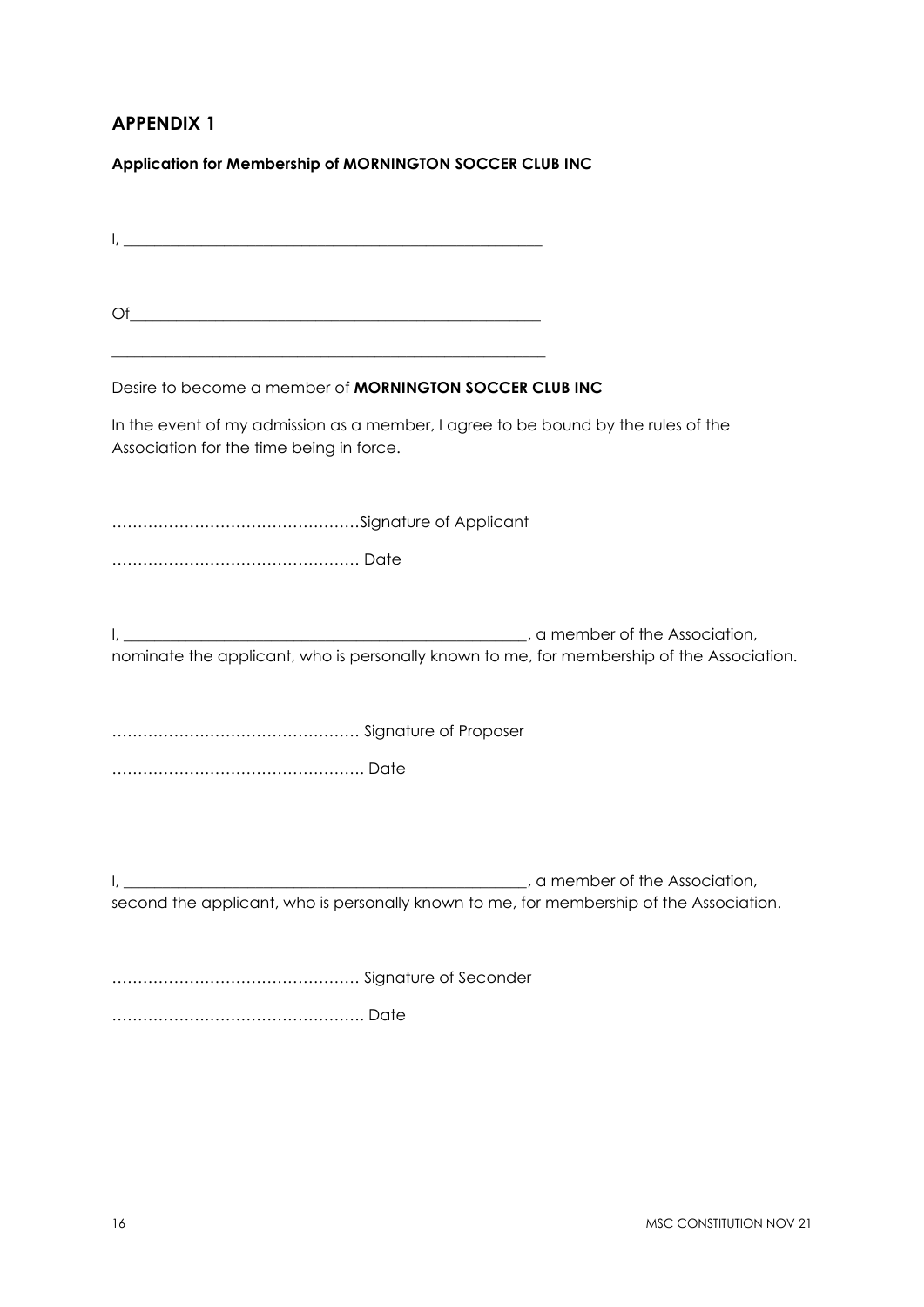## **APPENDIX 1**

**Application for Membership of MORNINGTON SOCCER CLUB INC**

 $\mathsf{I}, \mathsf{I}$ 

 $\bigcirc$  of

 $\_$  , and the set of the set of the set of the set of the set of the set of the set of the set of the set of the set of the set of the set of the set of the set of the set of the set of the set of the set of the set of th

Desire to become a member of **MORNINGTON SOCCER CLUB INC**

In the event of my admission as a member, I agree to be bound by the rules of the Association for the time being in force.

…………………………………………Signature of Applicant

………………………………………… Date

I, \_\_\_\_\_\_\_\_\_\_\_\_\_\_\_\_\_\_\_\_\_\_\_\_\_\_\_\_\_\_\_\_\_\_\_\_\_\_\_\_\_\_\_\_\_\_\_\_\_\_\_\_, a member of the Association, nominate the applicant, who is personally known to me, for membership of the Association.

………………………………………… Signature of Proposer

…………………………………………. Date

I, \_\_\_\_\_\_\_\_\_\_\_\_\_\_\_\_\_\_\_\_\_\_\_\_\_\_\_\_\_\_\_\_\_\_\_\_\_\_\_\_\_\_\_\_\_\_\_\_\_\_\_\_, a member of the Association, second the applicant, who is personally known to me, for membership of the Association.

………………………………………… Signature of Seconder

…………………………………………. Date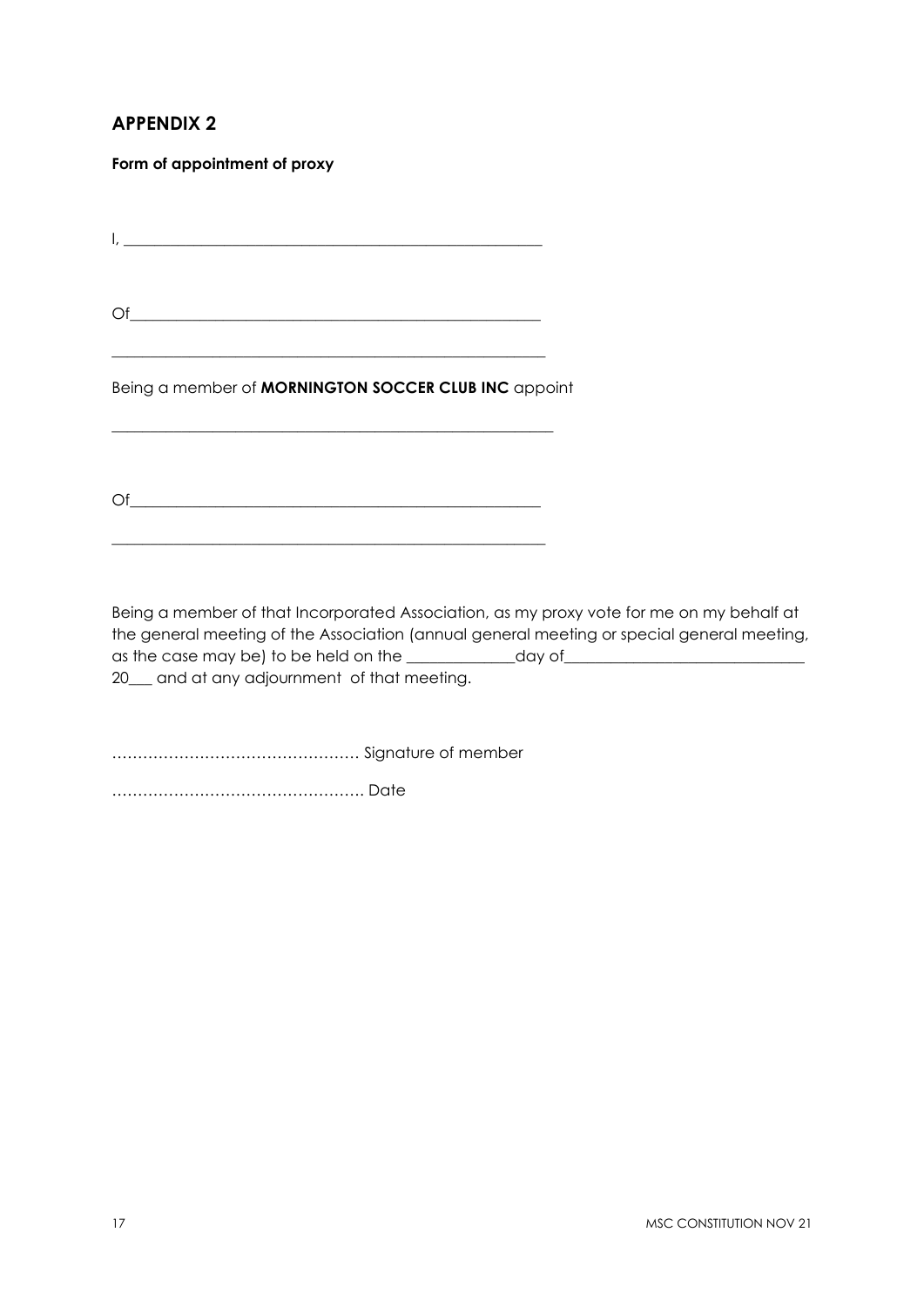# **APPENDIX 2**

**Form of appointment of proxy**

 $I, \underline{\hspace{1cm}}$ 

Of\_\_\_\_\_\_\_\_\_\_\_\_\_\_\_\_\_\_\_\_\_\_\_\_\_\_\_\_\_\_\_\_\_\_\_\_\_\_\_\_\_\_\_\_\_\_\_\_\_\_\_\_\_

 $\_$  , and the set of the set of the set of the set of the set of the set of the set of the set of the set of the set of the set of the set of the set of the set of the set of the set of the set of the set of the set of th

Being a member of **MORNINGTON SOCCER CLUB INC** appoint

 $\bigcirc$  of

 $\_$  , and the set of the set of the set of the set of the set of the set of the set of the set of the set of the set of the set of the set of the set of the set of the set of the set of the set of the set of the set of th

\_\_\_\_\_\_\_\_\_\_\_\_\_\_\_\_\_\_\_\_\_\_\_\_\_\_\_\_\_\_\_\_\_\_\_\_\_\_\_\_\_\_\_\_\_\_\_\_\_\_\_\_\_\_\_\_\_

Being a member of that Incorporated Association, as my proxy vote for me on my behalf at the general meeting of the Association (annual general meeting or special general meeting, as the case may be) to be held on the \_\_\_\_\_\_\_\_\_\_\_\_\_\_day of\_\_\_\_\_\_\_\_\_\_\_\_\_\_\_\_\_\_\_\_\_\_\_\_\_\_\_\_\_\_\_ 20\_\_\_ and at any adjournment of that meeting.

………………………………………… Signature of member

…………………………………………. Date